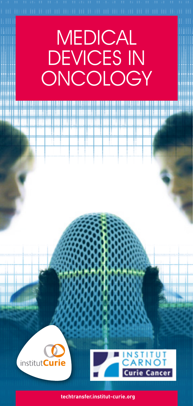# **MEDICAL** devices in **ONCOLOGY**





**techtransfer.institut-curie.org**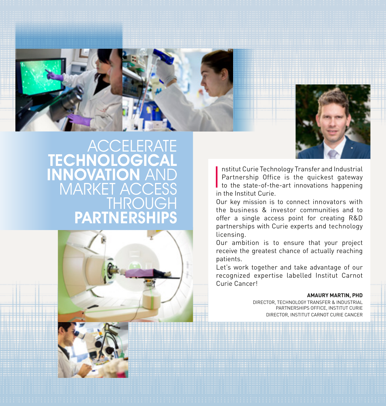



**ACCELERATE TECHNOLOGICAL** innovation and MARKET ACCESS THROUGH **PARTNERSHIPS** 



Institut Curie Technology Transfer and Industrial<br>Partnership Office is the quickest gateway<br>to the state-of-the-art innovations happening<br>in the lostitut Curie nstitut Curie Technology Transfer and Industrial Partnership Office is the quickest gateway in the Institut Curie.

Our key mission is to connect innovators with the business & investor communities and to offer a single access point for creating R&D partnerships with Curie experts and technology licensing.

Our ambition is to ensure that your project receive the greatest chance of actually reaching patients.

Let's work together and take advantage of our recognized expertise labelled Institut Carnot Curie Cancer!

#### **Amaury MARTIN, PhD**

Director, Technology Transfer & Industrial Partnerships Office, Institut Curie Director, Institut Carnot Curie Cancer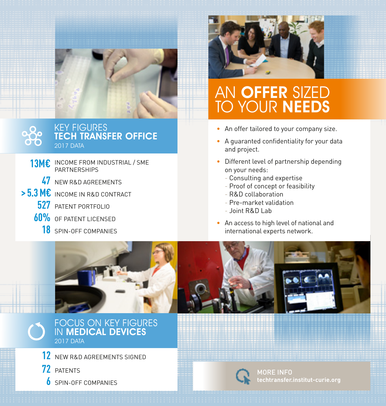

Key figures Tech Transfer Office 2017 Data

- 13M<sup>£</sup> INCOME FROM INDUSTRIAL / SME **PARTNERSHIPS** 
	- **47** NEW R&D AGREEMENTS
- **> 5.3 M€** Income in R&D contract
	- **527** Patent portfolio
	- **60%** of patent licensed
		- **18** spin-off companies



# An offer sized to your **Needs**

- An offer tailored to your company size.
- A guaranted confidentiality for your data and project.
- Different level of partnership depending on your needs:
	- Consulting and expertise
	- Proof of concept or feasibility
	- R&D collaboration
	- Pre-market validation
	- Joint R&D Lab
- An access to high level of national and international experts network.



Focus on Key figures in Medical Devices 2017 Data

- 12 NEW R&D AGREEMENTS SIGNED
- **72** Patents
- **6** spin-off companies



more info **techtransfer.institut-curie.org**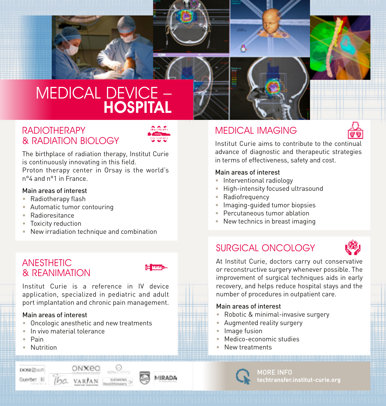

# Medical Device – **HOSPITAL**

### **RADIOTHERAPY** & Radiation Biology



The birthplace of radiation therapy, Institut Curie is continuously innovating in this field. Proton therapy center in Orsay is the world's n°4 and n°1 in France.

#### Main areas of interest

- Radiotherapy flash
- Automatic tumor contouring
- Radioresitance
- Toxicity reduction
- New irradiation technique and combination

## **ANESTHETIC** & Reanimation



MIRADA

Institut Curie is a reference in IV device application, specialized in pediatric and adult port implantation and chronic pain management.

#### Main areas of interest

• Oncologic anesthetic and new treatments

onxeo

Tha VARTAN

- In vivo material tolerance
- Pain

DOSI (Ssoft

Guerbet E

• Nutrition

# Medical Imaging



Institut Curie aims to contribute to the continual advance of diagnostic and therapeutic strategies in terms of effectiveness, safety and cost.

#### Main areas of interest

- Interventional radiology
- High-intensity focused ultrasound
- Radiofrequency
- Imaging-guided tumor biopsies
- Percutaneous tumor ablation
- New technics in breast imaging

# Surgical Oncology



At Institut Curie, doctors carry out conservative or reconstructive surgery whenever possible. The improvement of surgical techniques aids in early recovery, and helps reduce hospital stays and the number of procedures in outpatient care.

#### Main areas of interest

- Robotic & minimal-invasive surgery
- Augmented reality surgery
- Image fusion
- Medico-economic studies
- New treatments

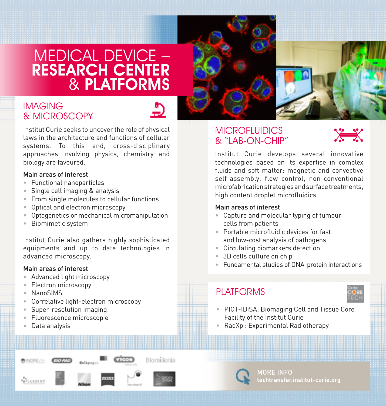# Medical Device – RESEARCH CENTER & Platforms

### **IMAGING** & Microscopy



**Biomillenia** 

Institut Curie seeks to uncover the role of physical laws in the architecture and functions of cellular systems. To this end, cross-disciplinary approaches involving physics, chemistry and biology are favoured.

#### Main areas of interest

- Functional nanoparticles
- Single cell imaging & analysis
- From single molecules to cellular functions
- Optical and electron microscopy
- Optogenetics or mechanical micromanipulation
- Biomimetic system

Institut Curie also gathers highly sophisticated equipments and up to date technologies in advanced microscopy.

#### Main areas of interest

- Advanced light microscopy
- Electron microscopy
- NanoSIMS
- Correlative light-electron microscopy

**Galápago** 

- Super-resolution imaging
- Fluorescence microscopie
- Data analysis

VILUIGENT



## **MICROFLUIDICS** & "Lab-On-Chip"



Institut Curie develops several innovative technologies based on its expertise in complex fluids and soft matter: magnetic and convective self-assembly, flow control, non-conventional microfabrication strategies and surface treatments, high content droplet microfluidics.

#### Main areas of interest

- Capture and molecular typing of tumour cells from patients
- Portable microfluidic devices for fast and low-cost analysis of pathogens
- Circulating biomarkers detection
- 3D cells culture on chip
- Fundamental studies of DNA-protein interactions

# PI ATFORMS



- PICT-IBiSA: Biomaging Cell and Tissue Core Facility of the Institut Curie
- RadXp : Experimental Radiotherapy



**techtransfer.institut-curie.org**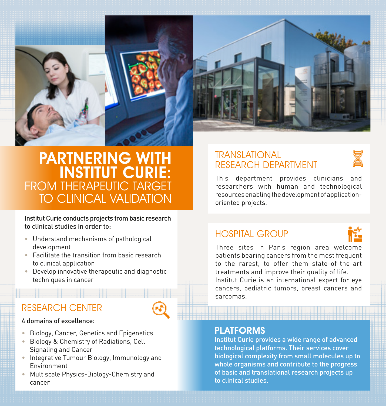

# PARTNERING WITH **INSTITUT CURIE:** from therapeutic target to clinical validation

Institut Curie conducts projects from basic research to clinical studies in order to:

- Understand mechanisms of pathological development
- Facilitate the transition from basic research to clinical application
- Develop innovative therapeutic and diagnostic techniques in cancer

#### Research center

#### 4 domains of excellence:

- Biology, Cancer, Genetics and Epigenetics
- Biology & Chemistry of Radiations, Cell Signaling and Cancer
- Integrative Tumour Biology, Immunology and Environment
- Multiscale Physics-Biology-Chemistry and cancer

### Translational research department



This department provides clinicians and researchers with human and technological resources enabling the development of applicationoriented projects.

#### Hospital Group



Three sites in Paris region area welcome patients bearing cancers from the most frequent to the rarest, to offer them state-of-the-art treatments and improve their quality of life. Institut Curie is an international expert for eye cancers, pediatric tumors, breast cancers and sarcomas.

#### **PLATFORMS**

Institut Curie provides a wide range of advanced technological platforms. Their services cover biological complexity from small molecules up to whole organisms and contribute to the progress of basic and translational research projects up to clinical studies.